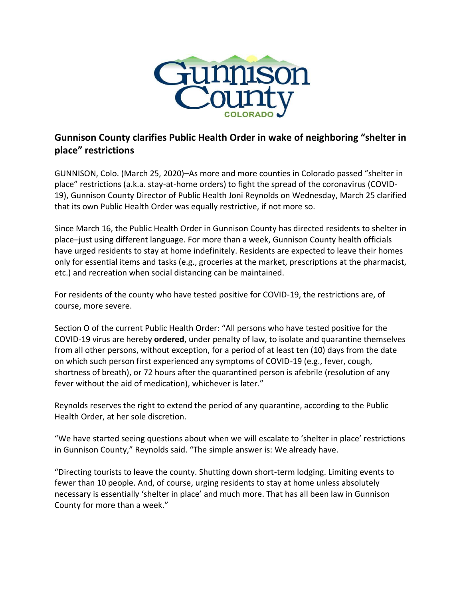

## **Gunnison County clarifies Public Health Order in wake of neighboring "shelter in place" restrictions**

GUNNISON, Colo. (March 25, 2020)–As more and more counties in Colorado passed "shelter in place" restrictions (a.k.a. stay-at-home orders) to fight the spread of the coronavirus (COVID-19), Gunnison County Director of Public Health Joni Reynolds on Wednesday, March 25 clarified that its own Public Health Order was equally restrictive, if not more so.

Since March 16, the Public Health Order in Gunnison County has directed residents to shelter in place–just using different language. For more than a week, Gunnison County health officials have urged residents to stay at home indefinitely. Residents are expected to leave their homes only for essential items and tasks (e.g., groceries at the market, prescriptions at the pharmacist, etc.) and recreation when social distancing can be maintained.

For residents of the county who have tested positive for COVID-19, the restrictions are, of course, more severe.

Section O of the current Public Health Order: "All persons who have tested positive for the COVID-19 virus are hereby **ordered**, under penalty of law, to isolate and quarantine themselves from all other persons, without exception, for a period of at least ten (10) days from the date on which such person first experienced any symptoms of COVID-19 (e.g., fever, cough, shortness of breath), or 72 hours after the quarantined person is afebrile (resolution of any fever without the aid of medication), whichever is later."

Reynolds reserves the right to extend the period of any quarantine, according to the Public Health Order, at her sole discretion.

"We have started seeing questions about when we will escalate to 'shelter in place' restrictions in Gunnison County," Reynolds said. "The simple answer is: We already have.

"Directing tourists to leave the county. Shutting down short-term lodging. Limiting events to fewer than 10 people. And, of course, urging residents to stay at home unless absolutely necessary is essentially 'shelter in place' and much more. That has all been law in Gunnison County for more than a week."